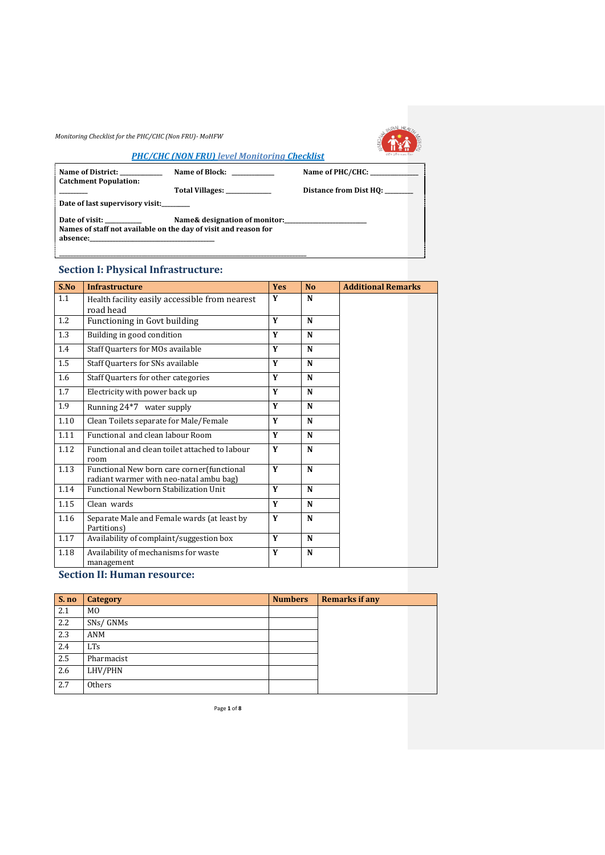

#### *PHC/CHC (NON FRU) level Monitoring Checklist*

| Name of District:<br><b>Catchment Population:</b>               | Name of Block:                | Name of PHC/CHC:       |  |  |  |  |
|-----------------------------------------------------------------|-------------------------------|------------------------|--|--|--|--|
|                                                                 | Total Villages: ____________  | Distance from Dist HQ: |  |  |  |  |
| Date of last supervisory visit:                                 |                               |                        |  |  |  |  |
| Date of visit:                                                  | Name& designation of monitor: |                        |  |  |  |  |
| Names of staff not available on the day of visit and reason for |                               |                        |  |  |  |  |
|                                                                 |                               |                        |  |  |  |  |

## **Section I: Physical Infrastructure:**

| S.No | <b>Infrastructure</b>                                                                 | <b>Yes</b> | N <sub>0</sub> | <b>Additional Remarks</b> |
|------|---------------------------------------------------------------------------------------|------------|----------------|---------------------------|
| 1.1  | Health facility easily accessible from nearest<br>road head                           | Y          | N              |                           |
| 1.2  | Functioning in Govt building                                                          | Y          | N              |                           |
| 1.3  | Building in good condition                                                            | Y          | N              |                           |
| 1.4  | Staff Quarters for MOs available                                                      | Y          | N              |                           |
| 1.5  | Staff Quarters for SNs available                                                      | Y          | N              |                           |
| 1.6  | Staff Quarters for other categories                                                   | Y          | N              |                           |
| 1.7  | Electricity with power back up                                                        | Y          | N              |                           |
| 1.9  | Running 24*7 water supply                                                             | Y          | N              |                           |
| 1.10 | Clean Toilets separate for Male/Female                                                | Y          | N              |                           |
| 1.11 | Functional and clean labour Room                                                      | Y          | N              |                           |
| 1.12 | Functional and clean toilet attached to labour<br>room                                | Y          | N              |                           |
| 1.13 | Functional New born care corner(functional<br>radiant warmer with neo-natal ambu bag) | Y          | N              |                           |
| 1.14 | <b>Functional Newborn Stabilization Unit</b>                                          | Y          | N              |                           |
| 1.15 | Clean wards                                                                           | Y          | N              |                           |
| 1.16 | Separate Male and Female wards (at least by<br>Partitions)                            | Y          | N              |                           |
| 1.17 | Availability of complaint/suggestion box                                              | Y          | N              |                           |
| 1.18 | Availability of mechanisms for waste<br>management                                    | Y          | N              |                           |

## **Section II: Human resource:**

| S. no | Category       | <b>Numbers</b> | <b>Remarks if any</b> |  |
|-------|----------------|----------------|-----------------------|--|
| 2.1   | M <sub>0</sub> |                |                       |  |
| 2.2   | SNs/GNMs       |                |                       |  |
| 2.3   | ANM            |                |                       |  |
| 2.4   | <b>LTs</b>     |                |                       |  |
| 2.5   | Pharmacist     |                |                       |  |
| 2.6   | LHV/PHN        |                |                       |  |
| 2.7   | Others         |                |                       |  |

Page **1** of **8**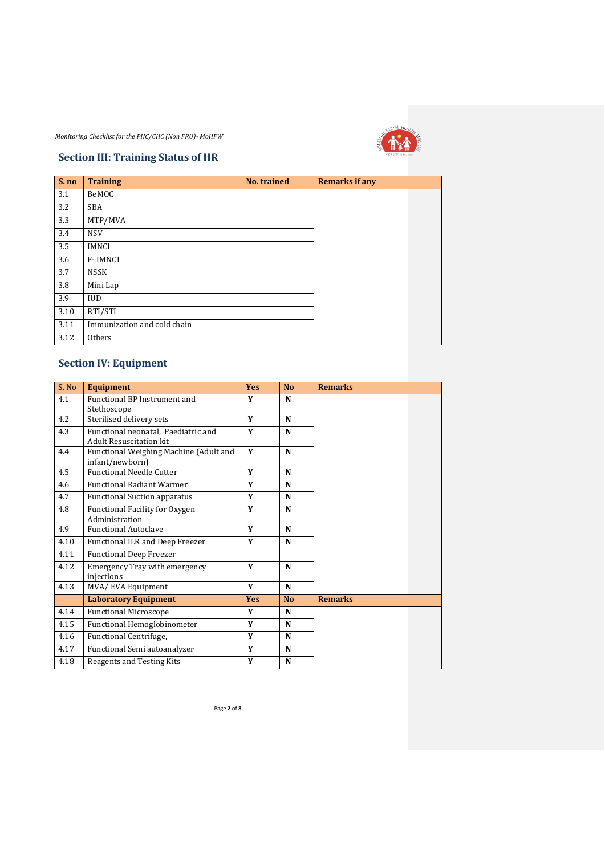

## **Section III: Training Status of HR**

| S. no | <b>Training</b>             | No. trained | <b>Remarks if any</b> |  |
|-------|-----------------------------|-------------|-----------------------|--|
| 3.1   | BeMOC                       |             |                       |  |
| 3.2   | <b>SBA</b>                  |             |                       |  |
| 3.3   | MTP/MVA                     |             |                       |  |
| 3.4   | <b>NSV</b>                  |             |                       |  |
| 3.5   | <b>IMNCI</b>                |             |                       |  |
| 3.6   | F-IMNCI                     |             |                       |  |
| 3.7   | <b>NSSK</b>                 |             |                       |  |
| 3.8   | Mini Lap                    |             |                       |  |
| 3.9   | <b>IUD</b>                  |             |                       |  |
| 3.10  | RTI/STI                     |             |                       |  |
| 3.11  | Immunization and cold chain |             |                       |  |
| 3.12  | Others                      |             |                       |  |

# **Section IV: Equipment**

| S. No | <b>Equipment</b>                                                      | <b>Yes</b> | No.            | <b>Remarks</b> |
|-------|-----------------------------------------------------------------------|------------|----------------|----------------|
| 4.1   | Functional BP Instrument and                                          | Y          | N              |                |
|       | Stethoscope                                                           |            |                |                |
| 4.2   | Sterilised delivery sets                                              | Y          | N              |                |
| 4.3   | Functional neonatal. Paediatric and<br><b>Adult Resuscitation kit</b> | Y          | N              |                |
| 4.4   | Functional Weighing Machine (Adult and<br>infant/newborn)             | Y          | N              |                |
| 4.5   | <b>Functional Needle Cutter</b>                                       | Y          | N              |                |
| 4.6   | <b>Functional Radiant Warmer</b>                                      | Y          | N              |                |
| 4.7   | <b>Functional Suction apparatus</b>                                   | Y          | N              |                |
| 4.8   | Functional Facility for Oxygen<br>Administration                      | Y          | N              |                |
| 4.9   | <b>Functional Autoclave</b>                                           | Y          | N              |                |
| 4.10  | Functional ILR and Deep Freezer                                       | Y          | N              |                |
| 4.11  | <b>Functional Deep Freezer</b>                                        |            |                |                |
| 4.12  | <b>Emergency Tray with emergency</b><br>injections                    | Y          | N              |                |
| 4.13  | MVA/ EVA Equipment                                                    | Y          | N              |                |
|       | <b>Laboratory Equipment</b>                                           | <b>Yes</b> | N <sub>0</sub> | <b>Remarks</b> |
| 4.14  | <b>Functional Microscope</b>                                          | Y          | N              |                |
| 4.15  | Functional Hemoglobinometer                                           | Y          | $\mathbf N$    |                |
| 4.16  | Functional Centrifuge,                                                | Y          | N              |                |
| 4.17  | Functional Semi autoanalyzer                                          | Y          | N              |                |
| 4.18  | Reagents and Testing Kits                                             | Y          | N              |                |

Page **2** of **8**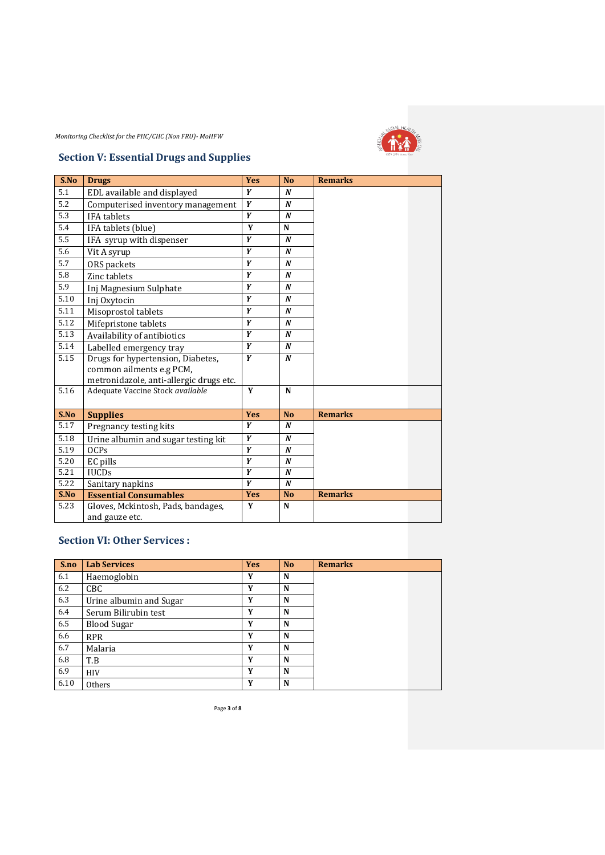

## **Section V: Essential Drugs and Supplies**

| S.No             | <b>Drugs</b>                            | <b>Yes</b> | <b>No</b>        | <b>Remarks</b> |
|------------------|-----------------------------------------|------------|------------------|----------------|
| 5.1              | EDL available and displayed             | Y          | $\boldsymbol{N}$ |                |
| 5.2              | Computerised inventory management       | Y          | $\boldsymbol{N}$ |                |
| 5.3              | <b>IFA</b> tablets                      | Y          | $\boldsymbol{N}$ |                |
| 5.4              | IFA tablets (blue)                      | Y          | N                |                |
| 5.5              | IFA syrup with dispenser                | Y          | $\boldsymbol{N}$ |                |
| 5.6              | Vit A syrup                             | Y          | $\boldsymbol{N}$ |                |
| 5.7              | ORS packets                             | Y          | $\boldsymbol{N}$ |                |
| 5.8              | Zinc tablets                            | Y          | $\boldsymbol{N}$ |                |
| $\overline{5.9}$ | Inj Magnesium Sulphate                  | Y          | $\boldsymbol{N}$ |                |
| 5.10             | Inj Oxytocin                            | Y          | $\boldsymbol{N}$ |                |
| 5.11             | Misoprostol tablets                     | Y          | $\boldsymbol{N}$ |                |
| 5.12             | Mifepristone tablets                    | Y          | $\boldsymbol{N}$ |                |
| 5.13             | Availability of antibiotics             | Y          | $\boldsymbol{N}$ |                |
| 5.14             | Labelled emergency tray                 | Y          | $\boldsymbol{N}$ |                |
| 5.15             | Drugs for hypertension, Diabetes,       | Y          | $\boldsymbol{N}$ |                |
|                  | common ailments e.g PCM,                |            |                  |                |
|                  | metronidazole, anti-allergic drugs etc. |            |                  |                |
| 5.16             | Adequate Vaccine Stock available        | Y          | N                |                |
|                  |                                         |            |                  |                |
| S.No             | <b>Supplies</b>                         | <b>Yes</b> | <b>No</b>        | <b>Remarks</b> |
| 5.17             | Pregnancy testing kits                  | Y          | $\boldsymbol{N}$ |                |
| 5.18             | Urine albumin and sugar testing kit     | Y          | $\boldsymbol{N}$ |                |
| 5.19             | <b>OCPs</b>                             | Y          | $\boldsymbol{N}$ |                |
| 5.20             | EC pills                                | Y          | $\boldsymbol{N}$ |                |
| 5.21             | <b>IUCDs</b>                            | Y          | $\boldsymbol{N}$ |                |
| 5.22             | Sanitary napkins                        | Y          | $\boldsymbol{N}$ |                |
| S.No             | <b>Essential Consumables</b>            | <b>Yes</b> | <b>No</b>        | <b>Remarks</b> |
| 5.23             | Gloves, Mckintosh, Pads, bandages,      | Y          | N                |                |
|                  | and gauze etc.                          |            |                  |                |

## **Section VI: Other Services :**

| S.no | <b>Lab Services</b>     | <b>Yes</b> | N <sub>o</sub> | <b>Remarks</b> |  |
|------|-------------------------|------------|----------------|----------------|--|
| 6.1  | Haemoglobin             | Y          | N              |                |  |
| 6.2  | CBC                     | Y          | N              |                |  |
| 6.3  | Urine albumin and Sugar | Y          | N              |                |  |
| 6.4  | Serum Bilirubin test    | Y          | N              |                |  |
| 6.5  | <b>Blood Sugar</b>      | Y          | N              |                |  |
| 6.6  | <b>RPR</b>              | Y          | N              |                |  |
| 6.7  | Malaria                 | Y          | N              |                |  |
| 6.8  | T.B                     | Y          | N              |                |  |
| 6.9  | <b>HIV</b>              | Y          | N              |                |  |
| 6.10 | Others                  | Y          | N              |                |  |

Page **3** of **8**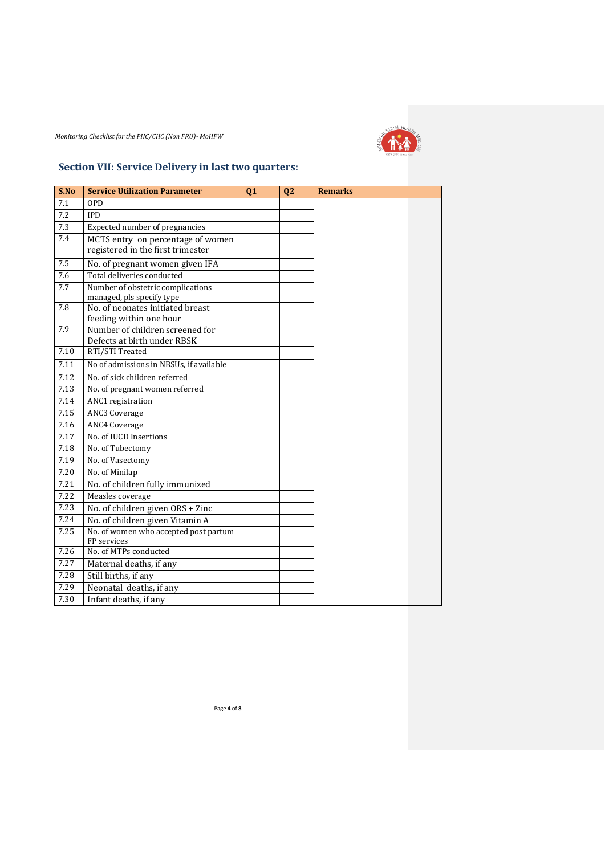

# **Section VII: Service Delivery in last two quarters:**

| S.No | <b>Service Utilization Parameter</b>                                   | Q1 | Q <sub>2</sub> | <b>Remarks</b> |
|------|------------------------------------------------------------------------|----|----------------|----------------|
| 7.1  | <b>OPD</b>                                                             |    |                |                |
| 7.2  | <b>IPD</b>                                                             |    |                |                |
| 7.3  | Expected number of pregnancies                                         |    |                |                |
| 7.4  | MCTS entry on percentage of women<br>registered in the first trimester |    |                |                |
| 7.5  | No. of pregnant women given IFA                                        |    |                |                |
| 7.6  | Total deliveries conducted                                             |    |                |                |
| 7.7  | Number of obstetric complications<br>managed, pls specify type         |    |                |                |
| 7.8  | No. of neonates initiated breast<br>feeding within one hour            |    |                |                |
| 7.9  | Number of children screened for<br>Defects at birth under RBSK         |    |                |                |
| 7.10 | RTI/STI Treated                                                        |    |                |                |
| 7.11 | No of admissions in NBSUs, if available                                |    |                |                |
| 7.12 | No. of sick children referred                                          |    |                |                |
| 7.13 | No. of pregnant women referred                                         |    |                |                |
| 7.14 | ANC1 registration                                                      |    |                |                |
| 7.15 | <b>ANC3 Coverage</b>                                                   |    |                |                |
| 7.16 | <b>ANC4 Coverage</b>                                                   |    |                |                |
| 7.17 | No. of IUCD Insertions                                                 |    |                |                |
| 7.18 | No. of Tubectomy                                                       |    |                |                |
| 7.19 | No. of Vasectomy                                                       |    |                |                |
| 7.20 | No. of Minilap                                                         |    |                |                |
| 7.21 | No. of children fully immunized                                        |    |                |                |
| 7.22 | Measles coverage                                                       |    |                |                |
| 7.23 | No. of children given ORS + Zinc                                       |    |                |                |
| 7.24 | No. of children given Vitamin A                                        |    |                |                |
| 7.25 | No. of women who accepted post partum<br>FP services                   |    |                |                |
| 7.26 | No. of MTPs conducted                                                  |    |                |                |
| 7.27 | Maternal deaths, if any                                                |    |                |                |
| 7.28 | Still births, if any                                                   |    |                |                |
| 7.29 | Neonatal deaths, if any                                                |    |                |                |
| 7.30 | Infant deaths, if any                                                  |    |                |                |

Page **4** of **8**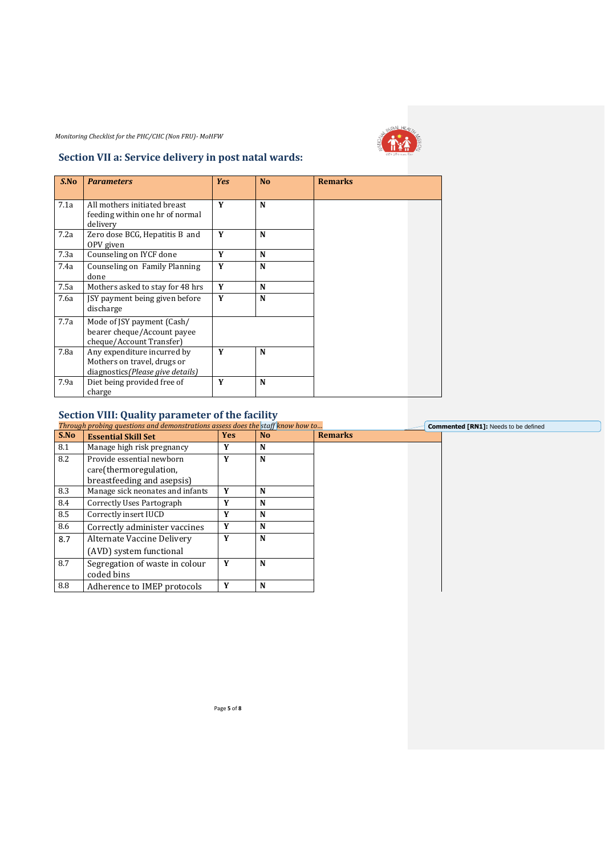

## **Section VII a: Service delivery in post natal wards:**

| S.No | <b>Parameters</b>                                                                               | <b>Yes</b> | <b>No</b> | <b>Remarks</b> |
|------|-------------------------------------------------------------------------------------------------|------------|-----------|----------------|
| 7.1a | All mothers initiated breast<br>feeding within one hr of normal<br>delivery                     | Y          | N         |                |
| 7.2a | Zero dose BCG, Hepatitis B and<br>OPV given                                                     | Y          | N         |                |
| 7.3a | Counseling on IYCF done                                                                         | Y          | N         |                |
| 7.4a | Counseling on Family Planning<br>done                                                           | Y          | N         |                |
| 7.5a | Mothers asked to stay for 48 hrs                                                                | Y          | N         |                |
| 7.6a | JSY payment being given before<br>discharge                                                     | Y          | N         |                |
| 7.7a | Mode of JSY payment (Cash/<br>bearer cheque/Account payee<br>cheque/Account Transfer)           |            |           |                |
| 7.8a | Any expenditure incurred by<br>Mothers on travel, drugs or<br>diagnostics (Please give details) | Y          | N         |                |
| 7.9a | Diet being provided free of<br>charge                                                           | Y          | N         |                |

## **Section VIII: Quality parameter of the facility**

|      | Through probing questions and demonstrations assess does the staff know how to |            |                |                | <b>Commented [RN1]:</b> Needs to be defined |
|------|--------------------------------------------------------------------------------|------------|----------------|----------------|---------------------------------------------|
| S.No | <b>Essential Skill Set</b>                                                     | <b>Yes</b> | N <sub>o</sub> | <b>Remarks</b> |                                             |
| 8.1  | Manage high risk pregnancy                                                     | Y          | N              |                |                                             |
| 8.2  | Provide essential newborn                                                      | Y          | N              |                |                                             |
|      | care(thermoregulation,                                                         |            |                |                |                                             |
|      | breastfeeding and asepsis)                                                     |            |                |                |                                             |
| 8.3  | Manage sick neonates and infants                                               | Y          | N              |                |                                             |
| 8.4  | Correctly Uses Partograph                                                      | Y          | N              |                |                                             |
| 8.5  | Correctly insert IUCD                                                          | Y          | N              |                |                                             |
| 8.6  | Correctly administer vaccines                                                  | Y          | N              |                |                                             |
| 8.7  | Alternate Vaccine Delivery                                                     | Y          | N              |                |                                             |
|      | (AVD) system functional                                                        |            |                |                |                                             |
| 8.7  | Segregation of waste in colour                                                 | Y          | N              |                |                                             |
|      | coded bins                                                                     |            |                |                |                                             |
| 8.8  | Adherence to IMEP protocols                                                    | Y          | N              |                |                                             |

Page **5** of **8**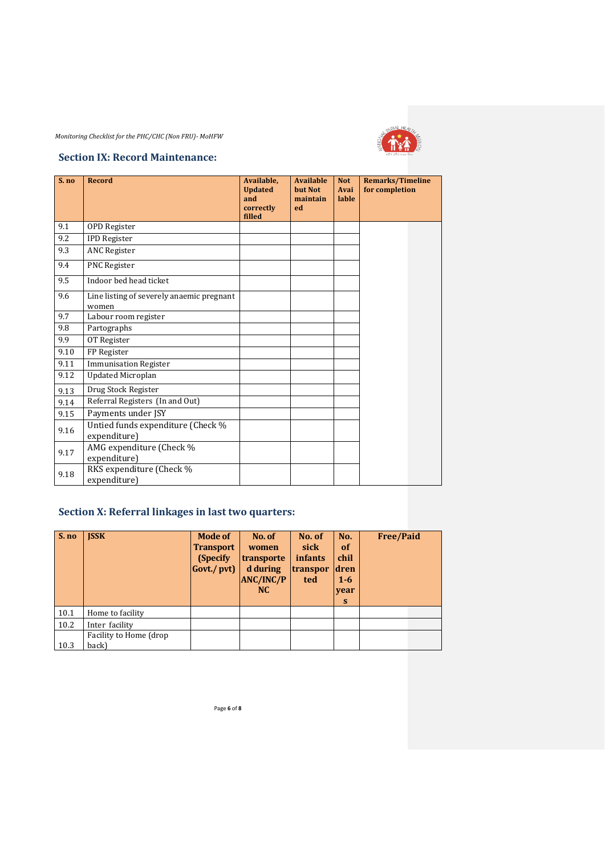

#### **Section IX: Record Maintenance:**

| S. no | <b>Record</b>                                      | Available,<br><b>Updated</b><br>and<br>correctly<br>filled | <b>Available</b><br>but Not<br>maintain<br>ed | <b>Not</b><br>Avai<br>lable | <b>Remarks/Timeline</b><br>for completion |  |
|-------|----------------------------------------------------|------------------------------------------------------------|-----------------------------------------------|-----------------------------|-------------------------------------------|--|
| 9.1   | <b>OPD</b> Register                                |                                                            |                                               |                             |                                           |  |
| 9.2   | <b>IPD Register</b>                                |                                                            |                                               |                             |                                           |  |
| 9.3   | <b>ANC Register</b>                                |                                                            |                                               |                             |                                           |  |
| 9.4   | PNC Register                                       |                                                            |                                               |                             |                                           |  |
| 9.5   | Indoor bed head ticket                             |                                                            |                                               |                             |                                           |  |
| 9.6   | Line listing of severely anaemic pregnant<br>women |                                                            |                                               |                             |                                           |  |
| 9.7   | Labour room register                               |                                                            |                                               |                             |                                           |  |
| 9.8   | Partographs                                        |                                                            |                                               |                             |                                           |  |
| 9.9   | OT Register                                        |                                                            |                                               |                             |                                           |  |
| 9.10  | FP Register                                        |                                                            |                                               |                             |                                           |  |
| 9.11  | <b>Immunisation Register</b>                       |                                                            |                                               |                             |                                           |  |
| 9.12  | <b>Updated Microplan</b>                           |                                                            |                                               |                             |                                           |  |
| 9.13  | Drug Stock Register                                |                                                            |                                               |                             |                                           |  |
| 9.14  | Referral Registers (In and Out)                    |                                                            |                                               |                             |                                           |  |
| 9.15  | Payments under JSY                                 |                                                            |                                               |                             |                                           |  |
| 9.16  | Untied funds expenditure (Check %<br>expenditure)  |                                                            |                                               |                             |                                           |  |
| 9.17  | AMG expenditure (Check %<br>expenditure)           |                                                            |                                               |                             |                                           |  |
| 9.18  | RKS expenditure (Check %<br>expenditure)           |                                                            |                                               |                             |                                           |  |

# **Section X: Referral linkages in last two quarters:**

| $S$ . no | <b>ISSK</b>            | <b>Mode of</b><br><b>Transport</b><br>(Specify)<br>Govt./pvt) | No. of<br>women<br>transporte<br>d during<br><b>ANC/INC/P</b><br>N <sub>C</sub> | No. of<br>sick<br><i>infants</i><br>transpor<br>ted | No.<br><b>of</b><br>chil<br>dren<br>$1 - 6$<br>year<br>S | <b>Free/Paid</b> |
|----------|------------------------|---------------------------------------------------------------|---------------------------------------------------------------------------------|-----------------------------------------------------|----------------------------------------------------------|------------------|
| 10.1     | Home to facility       |                                                               |                                                                                 |                                                     |                                                          |                  |
| 10.2     | Inter facility         |                                                               |                                                                                 |                                                     |                                                          |                  |
|          | Facility to Home (drop |                                                               |                                                                                 |                                                     |                                                          |                  |
| 10.3     | back)                  |                                                               |                                                                                 |                                                     |                                                          |                  |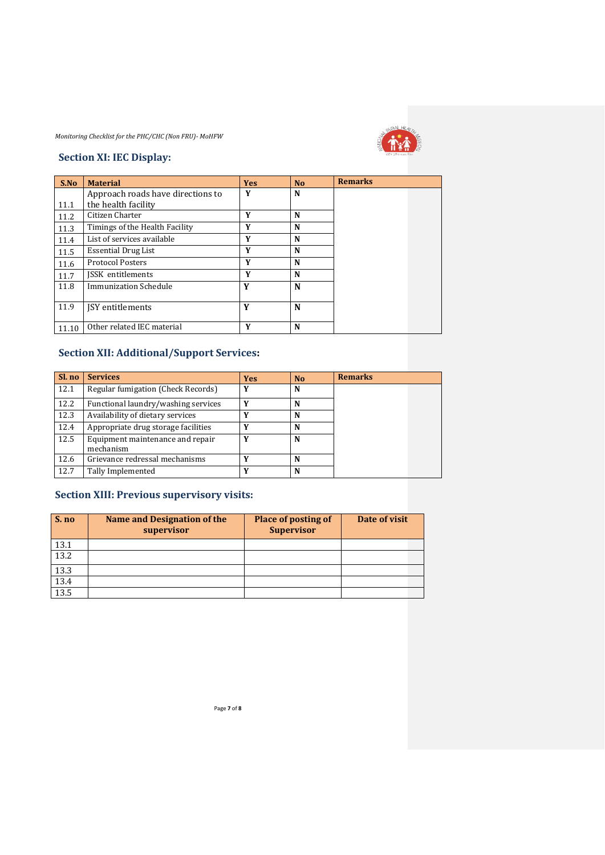

#### **Section XI: IEC Display:**

| S.No  | <b>Material</b>                   | <b>Yes</b> | N <sub>0</sub> | <b>Remarks</b> |
|-------|-----------------------------------|------------|----------------|----------------|
|       | Approach roads have directions to | Y          | N              |                |
| 11.1  | the health facility               |            |                |                |
| 11.2  | Citizen Charter                   | Y          | N              |                |
| 11.3  | Timings of the Health Facility    | Y          | N              |                |
| 11.4  | List of services available        | Y          | N              |                |
| 11.5  | <b>Essential Drug List</b>        | Y          | N              |                |
| 11.6  | <b>Protocol Posters</b>           | Y          | N              |                |
| 11.7  | <b>ISSK</b> entitlements          | Y          | N              |                |
| 11.8  | Immunization Schedule             | Y          | N              |                |
|       |                                   |            |                |                |
| 11.9  | <b>ISY</b> entitlements           | Y          | N              |                |
|       |                                   |            |                |                |
| 11.10 | Other related IEC material        | Y          | N              |                |

# **Section XII: Additional/Support Services:**

| Sl. no | <b>Services</b>                               | <b>Yes</b> | N <sub>0</sub> | <b>Remarks</b> |
|--------|-----------------------------------------------|------------|----------------|----------------|
| 12.1   | Regular fumigation (Check Records)            | Y          | N              |                |
| 12.2   | Functional laundry/washing services           | Y          | N              |                |
| 12.3   | Availability of dietary services              | Y          | N              |                |
| 12.4   | Appropriate drug storage facilities           |            | N              |                |
| 12.5   | Equipment maintenance and repair<br>mechanism |            | N              |                |
| 12.6   | Grievance redressal mechanisms                | v          | N              |                |
| 12.7   | Tally Implemented                             | v          | N              |                |

## **Section XIII: Previous supervisory visits:**

| S. no | Name and Designation of the<br>supervisor | <b>Place of posting of</b><br><b>Supervisor</b> | Date of visit |
|-------|-------------------------------------------|-------------------------------------------------|---------------|
| 13.1  |                                           |                                                 |               |
| 13.2  |                                           |                                                 |               |
| 13.3  |                                           |                                                 |               |
| 13.4  |                                           |                                                 |               |
| 13.5  |                                           |                                                 |               |
|       |                                           |                                                 |               |